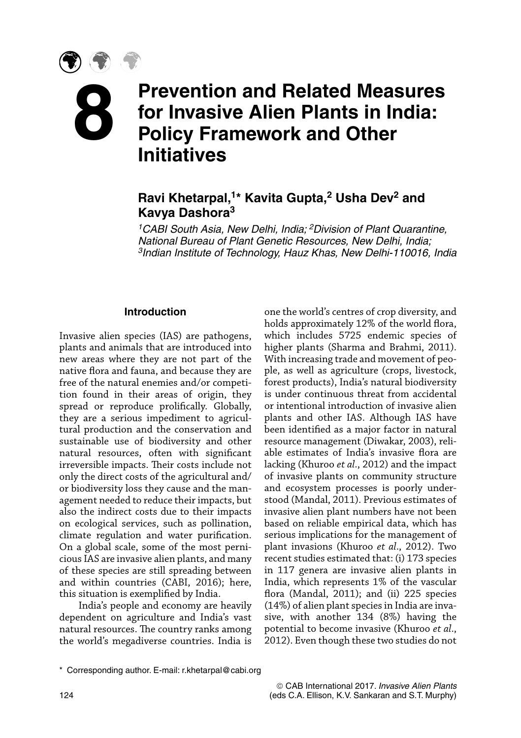# **Prevention and Related Measures for Invasive Alien Plants in India: Policy Framework and Other Initiatives 8**

# **Ravi Khetarpal,1\* Kavita Gupta,2 Usha Dev2 and Kavya Dashora3**

*1CABI South Asia, New Delhi, India; 2Division of Plant Quarantine, National Bureau of Plant Genetic Resources, New Delhi, India; 3Indian Institute of Technology, Hauz Khas, New Delhi-110016, India*

#### **Introduction**

Invasive alien species (IAS) are pathogens, plants and animals that are introduced into new areas where they are not part of the native flora and fauna, and because they are free of the natural enemies and/or competition found in their areas of origin, they spread or reproduce prolifically. Globally, they are a serious impediment to agricultural production and the conservation and sustainable use of biodiversity and other natural resources, often with significant irreversible impacts. Their costs include not only the direct costs of the agricultural and/ or biodiversity loss they cause and the management needed to reduce their impacts, but also the indirect costs due to their impacts on ecological services, such as pollination, climate regulation and water purification. On a global scale, some of the most pernicious IAS are invasive alien plants, and many of these species are still spreading between and within countries (CABI, 2016); here, this situation is exemplified by India.

India's people and economy are heavily dependent on agriculture and India's vast natural resources. The country ranks among the world's megadiverse countries. India is one the world's centres of crop diversity, and holds approximately 12% of the world flora, which includes 5725 endemic species of higher plants (Sharma and Brahmi, 2011). With increasing trade and movement of people, as well as agriculture (crops, livestock, forest products), India's natural biodiversity is under continuous threat from accidental or intentional introduction of invasive alien plants and other IAS. Although IAS have been identified as a major factor in natural resource management (Diwakar, 2003), reliable estimates of India's invasive flora are lacking (Khuroo *et al*., 2012) and the impact of invasive plants on community structure and ecosystem processes is poorly understood (Mandal, 2011). Previous estimates of invasive alien plant numbers have not been based on reliable empirical data, which has serious implications for the management of plant invasions (Khuroo *et al*., 2012). Two recent studies estimated that: (i) 173 species in 117 genera are invasive alien plants in India, which represents 1% of the vascular flora (Mandal, 2011); and (ii) 225 species (14%) of alien plant species in India are invasive, with another 134 (8%) having the potential to become invasive (Khuroo *et al*., 2012). Even though these two studies do not

<sup>\*</sup> Corresponding author. E-mail: [r.khetarpal@cabi.org](mailto:r.khetarpal@cabi.org)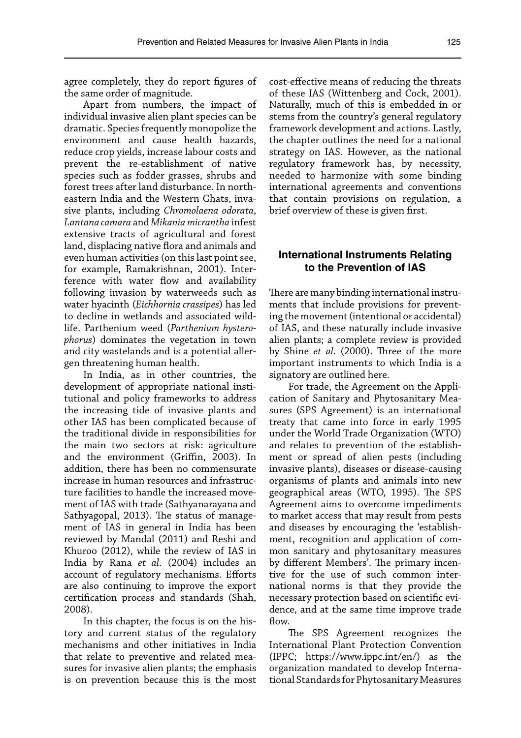agree completely, they do report figures of the same order of magnitude.

Apart from numbers, the impact of individual invasive alien plant species can be dramatic. Species frequently monopolize the environment and cause health hazards, reduce crop yields, increase labour costs and prevent the re-establishment of native species such as fodder grasses, shrubs and forest trees after land disturbance. In northeastern India and the Western Ghats, invasive plants, including *Chromolaena odorata*, *Lantana camara* and *Mikania micrantha* infest extensive tracts of agricultural and forest land, displacing native flora and animals and even human activities (on this last point see, for example, Ramakrishnan, 2001). Interference with water flow and availability following invasion by waterweeds such as water hyacinth (*Eichhornia crassipes*) has led to decline in wetlands and associated wildlife. Parthenium weed (*Parthenium hysterophorus*) dominates the vegetation in town and city wastelands and is a potential allergen threatening human health.

In India, as in other countries, the development of appropriate national institutional and policy frameworks to address the increasing tide of invasive plants and other IAS has been complicated because of the traditional divide in responsibilities for the main two sectors at risk: agriculture and the environment (Griffin, 2003). In addition, there has been no commensurate increase in human resources and infrastructure facilities to handle the increased movement of IAS with trade (Sathyanarayana and Sathyagopal, 2013). The status of management of IAS in general in India has been reviewed by Mandal (2011) and Reshi and Khuroo (2012), while the review of IAS in India by Rana *et al*. (2004) includes an account of regulatory mechanisms. Efforts are also continuing to improve the export certification process and standards (Shah, 2008).

In this chapter, the focus is on the history and current status of the regulatory mechanisms and other initiatives in India that relate to preventive and related measures for invasive alien plants; the emphasis is on prevention because this is the most

cost-effective means of reducing the threats of these IAS (Wittenberg and Cock, 2001). Naturally, much of this is embedded in or stems from the country's general regulatory framework development and actions. Lastly, the chapter outlines the need for a national strategy on IAS. However, as the national regulatory framework has, by necessity, needed to harmonize with some binding international agreements and conventions that contain provisions on regulation, a brief overview of these is given first.

#### **International Instruments Relating to the Prevention of IAS**

There are many binding international instruments that include provisions for preventing the movement (intentional or accidental) of IAS, and these naturally include invasive alien plants; a complete review is provided by Shine *et al*. (2000). Three of the more important instruments to which India is a signatory are outlined here.

For trade, the Agreement on the Application of Sanitary and Phytosanitary Measures (SPS Agreement) is an international treaty that came into force in early 1995 under the World Trade Organization (WTO) and relates to prevention of the establishment or spread of alien pests (including invasive plants), diseases or disease-causing organisms of plants and animals into new geographical areas (WTO, 1995). The SPS Agreement aims to overcome impediments to market access that may result from pests and diseases by encouraging the 'establishment, recognition and application of common sanitary and phytosanitary measures by different Members'. The primary incentive for the use of such common international norms is that they provide the necessary protection based on scientific evidence, and at the same time improve trade flow.

The SPS Agreement recognizes the International Plant Protection Convention (IPPC; [https://www.ippc.int/en/\)](https://www.ippc.int/en/) as the organization mandated to develop International Standards for Phytosanitary Measures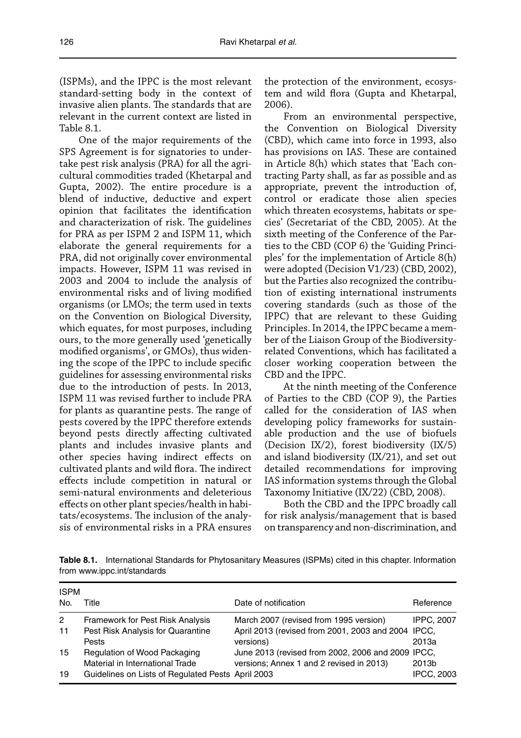(ISPMs), and the IPPC is the most relevant standard-setting body in the context of invasive alien plants. The standards that are relevant in the current context are listed in Table 8.1.

One of the major requirements of the SPS Agreement is for signatories to undertake pest risk analysis (PRA) for all the agricultural commodities traded (Khetarpal and Gupta, 2002). The entire procedure is a blend of inductive, deductive and expert opinion that facilitates the identification and characterization of risk. The guidelines for PRA as per ISPM 2 and ISPM 11, which elaborate the general requirements for a PRA, did not originally cover environmental impacts. However, ISPM 11 was revised in 2003 and 2004 to include the analysis of environmental risks and of living modified organisms (or LMOs; the term used in texts on the Convention on Biological Diversity, which equates, for most purposes, including ours, to the more generally used 'genetically modified organisms', or GMOs), thus widening the scope of the IPPC to include specific guidelines for assessing environmental risks due to the introduction of pests. In 2013, ISPM 11 was revised further to include PRA for plants as quarantine pests. The range of pests covered by the IPPC therefore extends beyond pests directly affecting cultivated plants and includes invasive plants and other species having indirect effects on cultivated plants and wild flora. The indirect effects include competition in natural or semi-natural environments and deleterious effects on other plant species/health in habitats/ecosystems. The inclusion of the analysis of environmental risks in a PRA ensures

the protection of the environment, ecosystem and wild flora (Gupta and Khetarpal, 2006).

From an environmental perspective, the Convention on Biological Diversity (CBD), which came into force in 1993, also has provisions on IAS. These are contained in Article 8(h) which states that 'Each contracting Party shall, as far as possible and as appropriate, prevent the introduction of, control or eradicate those alien species which threaten ecosystems, habitats or species' (Secretariat of the CBD, 2005). At the sixth meeting of the Conference of the Parties to the CBD (COP 6) the 'Guiding Principles' for the implementation of Article 8(h) were adopted (Decision V1/23) (CBD, 2002), but the Parties also recognized the contribution of existing international instruments covering standards (such as those of the IPPC) that are relevant to these Guiding Principles. In 2014, the IPPC became a member of the Liaison Group of the Biodiversityrelated Conventions, which has facilitated a closer working cooperation between the CBD and the IPPC.

At the ninth meeting of the Conference of Parties to the CBD (COP 9), the Parties called for the consideration of IAS when developing policy frameworks for sustainable production and the use of biofuels (Decision IX/2), forest biodiversity (IX/5) and island biodiversity (IX/21), and set out detailed recommendations for improving IAS information systems through the Global Taxonomy Initiative (IX/22) (CBD, 2008).

Both the CBD and the IPPC broadly call for risk analysis/management that is based on transparency and non-discrimination, and

**Table 8.1.** International Standards for Phytosanitary Measures (ISPMs) cited in this chapter. Information from [www.ippc.int/standards](http://www.ippc.int/standards)

| <b>ISPM</b><br>No. | Title                                             | Date of notification                               | Reference         |
|--------------------|---------------------------------------------------|----------------------------------------------------|-------------------|
| $\overline{2}$     | Framework for Pest Risk Analysis                  | March 2007 (revised from 1995 version)             | <b>IPPC. 2007</b> |
| 11                 | Pest Risk Analysis for Quarantine                 | April 2013 (revised from 2001, 2003 and 2004 IPCC, |                   |
|                    | Pests                                             | versions)                                          | 2013a             |
| 15                 | Regulation of Wood Packaging                      | June 2013 (revised from 2002, 2006 and 2009 IPCC,  |                   |
|                    | Material in International Trade                   | versions; Annex 1 and 2 revised in 2013)           | 2013b             |
| 19                 | Guidelines on Lists of Regulated Pests April 2003 |                                                    | <b>IPCC, 2003</b> |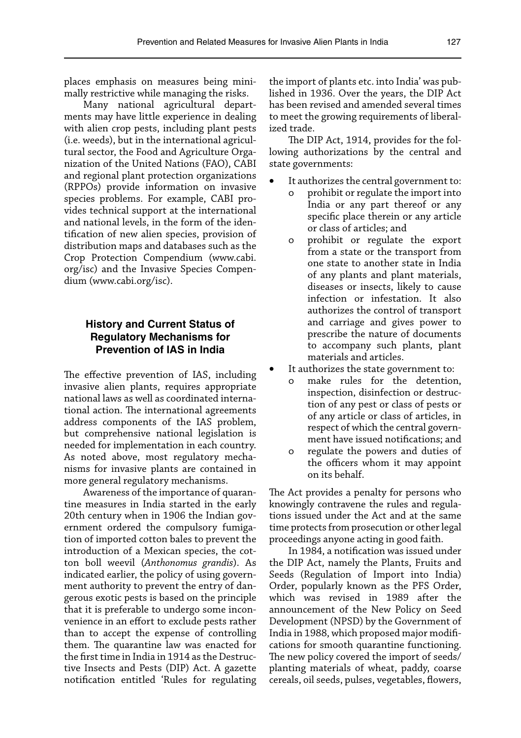places emphasis on measures being minimally restrictive while managing the risks.

Many national agricultural departments may have little experience in dealing with alien crop pests, including plant pests (i.e. weeds), but in the international agricultural sector, the Food and Agriculture Organization of the United Nations (FAO), CABI and regional plant protection organizations (RPPOs) provide information on invasive species problems. For example, CABI provides technical support at the international and national levels, in the form of the identification of new alien species, provision of distribution maps and databases such as the Crop Protection Compendium [\(www.cabi.](http://www.cabi.org/isc) [org/isc\)](http://www.cabi.org/isc) and the Invasive Species Compendium [\(www.cabi.org/isc\)](http://www.cabi.org/isc).

# **History and Current Status of Regulatory Mechanisms for Prevention of IAS in India**

The effective prevention of IAS, including invasive alien plants, requires appropriate national laws as well as coordinated international action. The international agreements address components of the IAS problem, but comprehensive national legislation is needed for implementation in each country. As noted above, most regulatory mechanisms for invasive plants are contained in more general regulatory mechanisms.

Awareness of the importance of quarantine measures in India started in the early 20th century when in 1906 the Indian government ordered the compulsory fumigation of imported cotton bales to prevent the introduction of a Mexican species, the cotton boll weevil (*Anthonomus grandis*). As indicated earlier, the policy of using government authority to prevent the entry of dangerous exotic pests is based on the principle that it is preferable to undergo some inconvenience in an effort to exclude pests rather than to accept the expense of controlling them. The quarantine law was enacted for the first time in India in 1914 as the Destructive Insects and Pests (DIP) Act. A gazette notification entitled 'Rules for regulating the import of plants etc. into India' was published in 1936. Over the years, the DIP Act has been revised and amended several times to meet the growing requirements of liberalized trade.

The DIP Act, 1914, provides for the following authorizations by the central and state governments:

- It authorizes the central government to:
	- o prohibit or regulate the import into India or any part thereof or any specific place therein or any article or class of articles; and
	- o prohibit or regulate the export from a state or the transport from one state to another state in India of any plants and plant materials, diseases or insects, likely to cause infection or infestation. It also authorizes the control of transport and carriage and gives power to prescribe the nature of documents to accompany such plants, plant materials and articles.
- It authorizes the state government to:
	- o make rules for the detention, inspection, disinfection or destruction of any pest or class of pests or of any article or class of articles, in respect of which the central government have issued notifications; and
	- o regulate the powers and duties of the officers whom it may appoint on its behalf.

The Act provides a penalty for persons who knowingly contravene the rules and regulations issued under the Act and at the same time protects from prosecution or other legal proceedings anyone acting in good faith.

In 1984, a notification was issued under the DIP Act, namely the Plants, Fruits and Seeds (Regulation of Import into India) Order, popularly known as the PFS Order, which was revised in 1989 after the announcement of the New Policy on Seed Development (NPSD) by the Government of India in 1988, which proposed major modifications for smooth quarantine functioning. The new policy covered the import of seeds/ planting materials of wheat, paddy, coarse cereals, oil seeds, pulses, vegetables, flowers,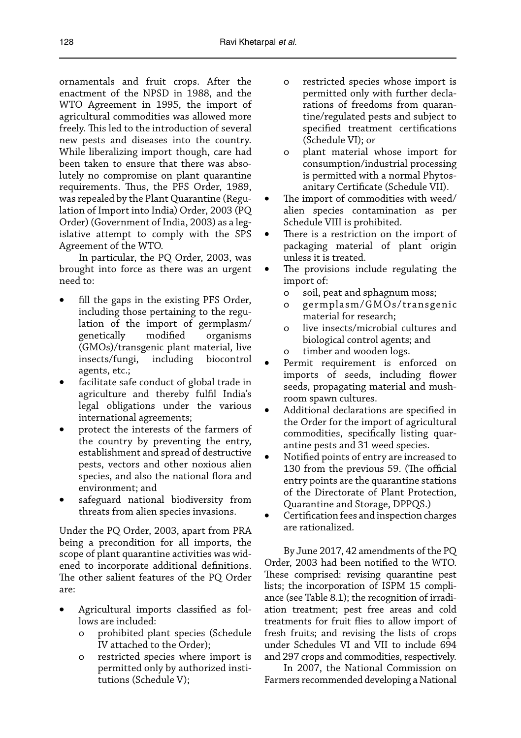ornamentals and fruit crops. After the enactment of the NPSD in 1988, and the WTO Agreement in 1995, the import of agricultural commodities was allowed more freely. This led to the introduction of several new pests and diseases into the country. While liberalizing import though, care had been taken to ensure that there was absolutely no compromise on plant quarantine requirements. Thus, the PFS Order, 1989, was repealed by the Plant Quarantine (Regulation of Import into India) Order, 2003 (PQ Order) (Government of India, 2003) as a legislative attempt to comply with the SPS Agreement of the WTO.

In particular, the PQ Order, 2003, was brought into force as there was an urgent need to:

- fill the gaps in the existing PFS Order, including those pertaining to the regulation of the import of germplasm/ genetically modified organisms (GMOs)/transgenic plant material, live insects/fungi, including biocontrol agents, etc.;
- facilitate safe conduct of global trade in agriculture and thereby fulfil India's legal obligations under the various international agreements;
- protect the interests of the farmers of the country by preventing the entry, establishment and spread of destructive pests, vectors and other noxious alien species, and also the national flora and environment; and
- safeguard national biodiversity from threats from alien species invasions.

Under the PQ Order, 2003, apart from PRA being a precondition for all imports, the scope of plant quarantine activities was widened to incorporate additional definitions. The other salient features of the PQ Order are:

- Agricultural imports classified as follows are included:
	- o prohibited plant species (Schedule IV attached to the Order);
	- o restricted species where import is permitted only by authorized institutions (Schedule V);
- o restricted species whose import is permitted only with further declarations of freedoms from quarantine/regulated pests and subject to specified treatment certifications (Schedule VI); or
- o plant material whose import for consumption/industrial processing is permitted with a normal Phytosanitary Certificate (Schedule VII).
- The import of commodities with weed/ alien species contamination as per Schedule VIII is prohibited.
- There is a restriction on the import of packaging material of plant origin unless it is treated.
- The provisions include regulating the import of:
	- o soil, peat and sphagnum moss;
	- o germplasm/GMOs/transgenic material for research;
	- o live insects/microbial cultures and biological control agents; and
	- o timber and wooden logs.
- Permit requirement is enforced on imports of seeds, including flower seeds, propagating material and mushroom spawn cultures.
- Additional declarations are specified in the Order for the import of agricultural commodities, specifically listing quarantine pests and 31 weed species.
- Notified points of entry are increased to 130 from the previous 59. (The official entry points are the quarantine stations of the Directorate of Plant Protection, Quarantine and Storage, DPPQS.)
- Certification fees and inspection charges are rationalized.

By June 2017, 42 amendments of the PQ Order, 2003 had been notified to the WTO. These comprised: revising quarantine pest lists; the incorporation of ISPM 15 compliance (see Table 8.1); the recognition of irradiation treatment; pest free areas and cold treatments for fruit flies to allow import of fresh fruits; and revising the lists of crops under Schedules VI and VII to include 694 and 297 crops and commodities, respectively.

In 2007, the National Commission on Farmers recommended developing a National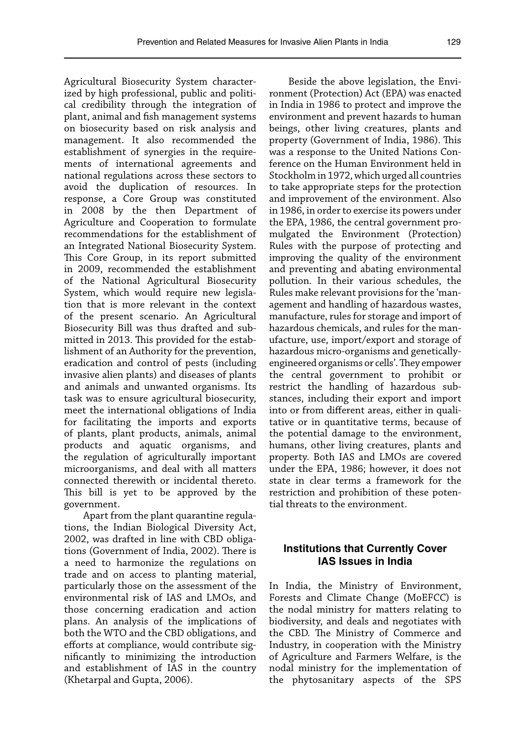Agricultural Biosecurity System characterized by high professional, public and political credibility through the integration of plant, animal and fish management systems on biosecurity based on risk analysis and management. It also recommended the establishment of synergies in the requirements of international agreements and national regulations across these sectors to avoid the duplication of resources. In response, a Core Group was constituted in 2008 by the then Department of Agriculture and Cooperation to formulate recommendations for the establishment of an Integrated National Biosecurity System. This Core Group, in its report submitted in 2009, recommended the establishment of the National Agricultural Biosecurity System, which would require new legislation that is more relevant in the context of the present scenario. An Agricultural Biosecurity Bill was thus drafted and submitted in 2013. This provided for the establishment of an Authority for the prevention, eradication and control of pests (including invasive alien plants) and diseases of plants and animals and unwanted organisms. Its task was to ensure agricultural biosecurity, meet the international obligations of India for facilitating the imports and exports of plants, plant products, animals, animal products and aquatic organisms, and the regulation of agriculturally important microorganisms, and deal with all matters connected therewith or incidental thereto. This bill is yet to be approved by the government.

Apart from the plant quarantine regulations, the Indian Biological Diversity Act, 2002, was drafted in line with CBD obligations (Government of India, 2002). There is a need to harmonize the regulations on trade and on access to planting material, particularly those on the assessment of the environmental risk of IAS and LMOs, and those concerning eradication and action plans. An analysis of the implications of both the WTO and the CBD obligations, and efforts at compliance, would contribute significantly to minimizing the introduction and establishment of IAS in the country (Khetarpal and Gupta, 2006).

Beside the above legislation, the Environment (Protection) Act (EPA) was enacted in India in 1986 to protect and improve the environment and prevent hazards to human beings, other living creatures, plants and property (Government of India, 1986). This was a response to the United Nations Conference on the Human Environment held in Stockholm in 1972, which urged all countries to take appropriate steps for the protection and improvement of the environment. Also in 1986, in order to exercise its powers under the EPA, 1986, the central government promulgated the Environment (Protection) Rules with the purpose of protecting and improving the quality of the environment and preventing and abating environmental pollution. In their various schedules, the Rules make relevant provisions for the 'management and handling of hazardous wastes, manufacture, rules for storage and import of hazardous chemicals, and rules for the manufacture, use, import/export and storage of hazardous micro-organisms and geneticallyengineered organisms or cells'. They empower the central government to prohibit or restrict the handling of hazardous substances, including their export and import into or from different areas, either in qualitative or in quantitative terms, because of the potential damage to the environment, humans, other living creatures, plants and property. Both IAS and LMOs are covered under the EPA, 1986; however, it does not state in clear terms a framework for the restriction and prohibition of these potential threats to the environment.

#### **Institutions that Currently Cover IAS Issues in India**

In India, the Ministry of Environment, Forests and Climate Change (MoEFCC) is the nodal ministry for matters relating to biodiversity, and deals and negotiates with the CBD. The Ministry of Commerce and Industry, in cooperation with the Ministry of Agriculture and Farmers Welfare, is the nodal ministry for the implementation of the phytosanitary aspects of the SPS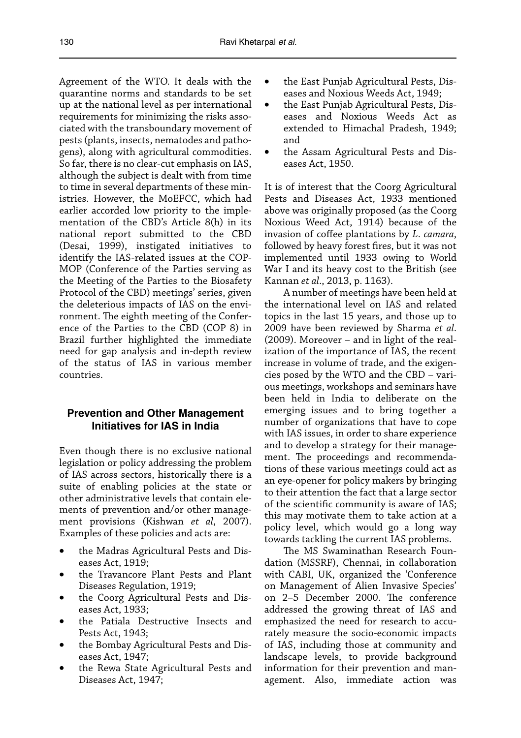Agreement of the WTO. It deals with the quarantine norms and standards to be set up at the national level as per international requirements for minimizing the risks associated with the transboundary movement of pests (plants, insects, nematodes and pathogens), along with agricultural commodities. So far, there is no clear-cut emphasis on IAS, although the subject is dealt with from time to time in several departments of these ministries. However, the MoEFCC, which had earlier accorded low priority to the implementation of the CBD's Article 8(h) in its national report submitted to the CBD (Desai, 1999), instigated initiatives to identify the IAS-related issues at the COP-MOP (Conference of the Parties serving as the Meeting of the Parties to the Biosafety Protocol of the CBD) meetings' series, given the deleterious impacts of IAS on the environment. The eighth meeting of the Conference of the Parties to the CBD (COP 8) in Brazil further highlighted the immediate need for gap analysis and in-depth review of the status of IAS in various member countries.

## **Prevention and Other Management Initiatives for IAS in India**

Even though there is no exclusive national legislation or policy addressing the problem of IAS across sectors, historically there is a suite of enabling policies at the state or other administrative levels that contain elements of prevention and/or other management provisions (Kishwan *et al*, 2007). Examples of these policies and acts are:

- the Madras Agricultural Pests and Diseases Act, 1919;
- the Travancore Plant Pests and Plant Diseases Regulation, 1919;
- the Coorg Agricultural Pests and Diseases Act, 1933;
- the Patiala Destructive Insects and Pests Act, 1943;
- the Bombay Agricultural Pests and Diseases Act, 1947;
- the Rewa State Agricultural Pests and Diseases Act, 1947;
- the East Punjab Agricultural Pests, Diseases and Noxious Weeds Act, 1949;
- the East Punjab Agricultural Pests, Diseases and Noxious Weeds Act as extended to Himachal Pradesh, 1949; and
- the Assam Agricultural Pests and Diseases Act, 1950.

It is of interest that the Coorg Agricultural Pests and Diseases Act, 1933 mentioned above was originally proposed (as the Coorg Noxious Weed Act, 1914) because of the invasion of coffee plantations by *L. camara*, followed by heavy forest fires, but it was not implemented until 1933 owing to World War I and its heavy cost to the British (see Kannan *et al*., 2013, p. 1163).

A number of meetings have been held at the international level on IAS and related topics in the last 15 years, and those up to 2009 have been reviewed by Sharma *et al*. (2009). Moreover – and in light of the realization of the importance of IAS, the recent increase in volume of trade, and the exigencies posed by the WTO and the CBD – various meetings, workshops and seminars have been held in India to deliberate on the emerging issues and to bring together a number of organizations that have to cope with IAS issues, in order to share experience and to develop a strategy for their management. The proceedings and recommendations of these various meetings could act as an eye-opener for policy makers by bringing to their attention the fact that a large sector of the scientific community is aware of IAS; this may motivate them to take action at a policy level, which would go a long way towards tackling the current IAS problems.

The MS Swaminathan Research Foundation (MSSRF), Chennai, in collaboration with CABI, UK, organized the 'Conference on Management of Alien Invasive Species' on 2–5 December 2000. The conference addressed the growing threat of IAS and emphasized the need for research to accurately measure the socio-economic impacts of IAS, including those at community and landscape levels, to provide background information for their prevention and management. Also, immediate action was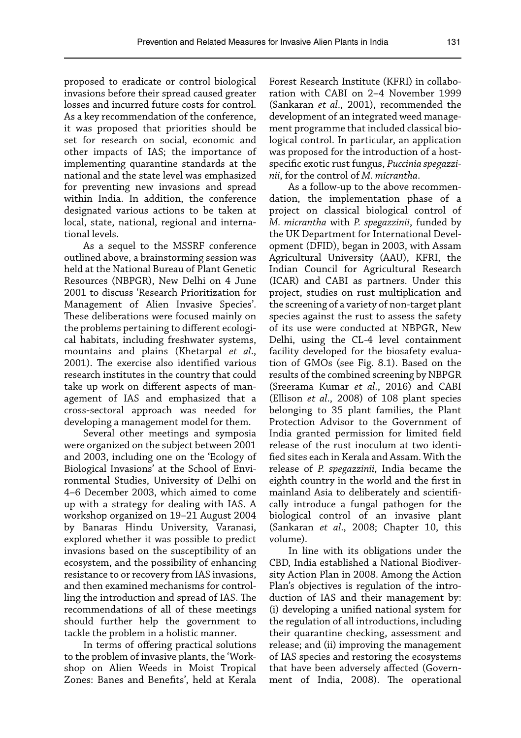proposed to eradicate or control biological invasions before their spread caused greater losses and incurred future costs for control. As a key recommendation of the conference, it was proposed that priorities should be set for research on social, economic and other impacts of IAS; the importance of implementing quarantine standards at the national and the state level was emphasized for preventing new invasions and spread within India. In addition, the conference designated various actions to be taken at local, state, national, regional and international levels.

As a sequel to the MSSRF conference outlined above, a brainstorming session was held at the National Bureau of Plant Genetic Resources (NBPGR), New Delhi on 4 June 2001 to discuss 'Research Prioritization for Management of Alien Invasive Species'. These deliberations were focused mainly on the problems pertaining to different ecological habitats, including freshwater systems, mountains and plains (Khetarpal *et al*., 2001). The exercise also identified various research institutes in the country that could take up work on different aspects of management of IAS and emphasized that a cross-sectoral approach was needed for developing a management model for them.

Several other meetings and symposia were organized on the subject between 2001 and 2003, including one on the 'Ecology of Biological Invasions' at the School of Environmental Studies, University of Delhi on 4–6 December 2003, which aimed to come up with a strategy for dealing with IAS. A workshop organized on 19–21 August 2004 by Banaras Hindu University, Varanasi, explored whether it was possible to predict invasions based on the susceptibility of an ecosystem, and the possibility of enhancing resistance to or recovery from IAS invasions, and then examined mechanisms for controlling the introduction and spread of IAS. The recommendations of all of these meetings should further help the government to tackle the problem in a holistic manner.

In terms of offering practical solutions to the problem of invasive plants, the 'Workshop on Alien Weeds in Moist Tropical Zones: Banes and Benefits', held at Kerala

Forest Research Institute (KFRI) in collaboration with CABI on 2–4 November 1999 (Sankaran *et al*., 2001), recommended the development of an integrated weed management programme that included classical biological control. In particular, an application was proposed for the introduction of a hostspecific exotic rust fungus, *Puccinia spegazzinii*, for the control of *M. micrantha*.

As a follow-up to the above recommendation, the implementation phase of a project on classical biological control of *M. micrantha* with *P. spegazzinii*, funded by the UK Department for International Development (DFID), began in 2003, with Assam Agricultural University (AAU), KFRI, the Indian Council for Agricultural Research (ICAR) and CABI as partners. Under this project, studies on rust multiplication and the screening of a variety of non-target plant species against the rust to assess the safety of its use were conducted at NBPGR, New Delhi, using the CL-4 level containment facility developed for the biosafety evaluation of GMOs (see Fig. 8.1). Based on the results of the combined screening by NBPGR (Sreerama Kumar *et al*., 2016) and CABI (Ellison *et al*., 2008) of 108 plant species belonging to 35 plant families, the Plant Protection Advisor to the Government of India granted permission for limited field release of the rust inoculum at two identified sites each in Kerala and Assam. With the release of *P. spegazzinii*, India became the eighth country in the world and the first in mainland Asia to deliberately and scientifically introduce a fungal pathogen for the biological control of an invasive plant (Sankaran *et al*., 2008; Chapter 10, this volume).

In line with its obligations under the CBD, India established a National Biodiversity Action Plan in 2008. Among the Action Plan's objectives is regulation of the introduction of IAS and their management by: (i) developing a unified national system for the regulation of all introductions, including their quarantine checking, assessment and release; and (ii) improving the management of IAS species and restoring the ecosystems that have been adversely affected (Government of India, 2008). The operational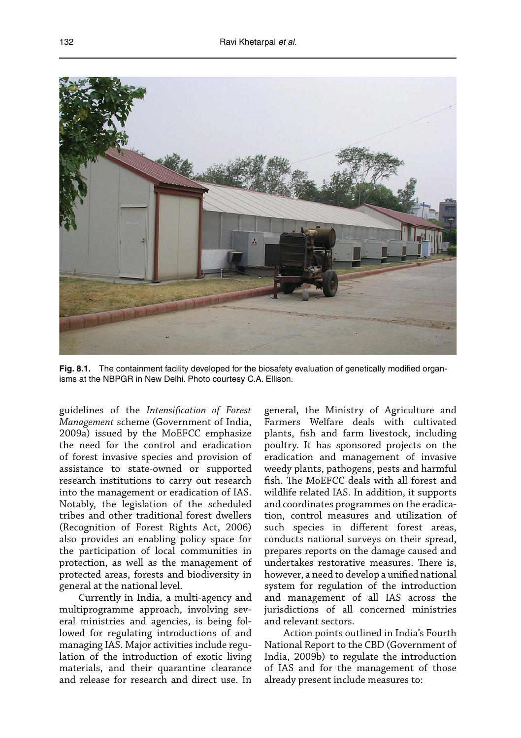

Fig. 8.1. The containment facility developed for the biosafety evaluation of genetically modified organisms at the NBPGR in New Delhi. Photo courtesy C.A. Ellison.

guidelines of the *Intensification of Forest Management* scheme (Government of India, 2009a) issued by the MoEFCC emphasize the need for the control and eradication of forest invasive species and provision of assistance to state-owned or supported research institutions to carry out research into the management or eradication of IAS. Notably, the legislation of the scheduled tribes and other traditional forest dwellers (Recognition of Forest Rights Act, 2006) also provides an enabling policy space for the participation of local communities in protection, as well as the management of protected areas, forests and biodiversity in general at the national level.

Currently in India, a multi-agency and multiprogramme approach, involving several ministries and agencies, is being followed for regulating introductions of and managing IAS. Major activities include regulation of the introduction of exotic living materials, and their quarantine clearance and release for research and direct use. In general, the Ministry of Agriculture and Farmers Welfare deals with cultivated plants, fish and farm livestock, including poultry. It has sponsored projects on the eradication and management of invasive weedy plants, pathogens, pests and harmful fish. The MoEFCC deals with all forest and wildlife related IAS. In addition, it supports and coordinates programmes on the eradication, control measures and utilization of such species in different forest areas, conducts national surveys on their spread, prepares reports on the damage caused and undertakes restorative measures. There is, however, a need to develop a unified national system for regulation of the introduction and management of all IAS across the iurisdictions of all concerned ministries and relevant sectors.

Action points outlined in India's Fourth National Report to the CBD (Government of India, 2009b) to regulate the introduction of IAS and for the management of those already present include measures to: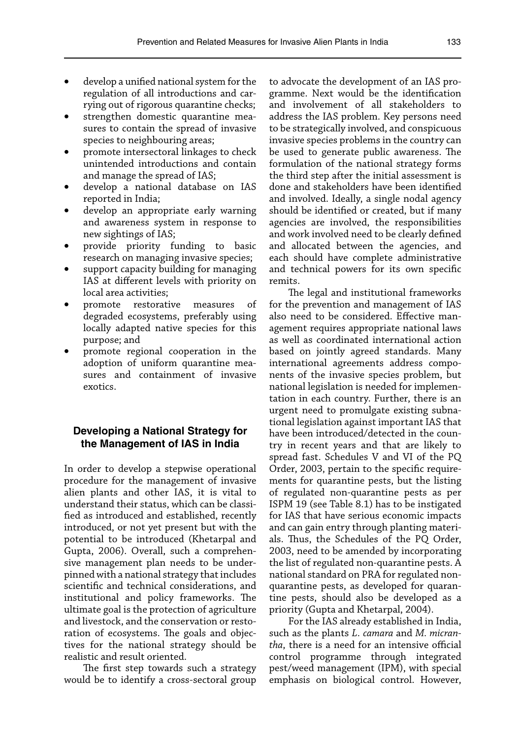- develop a unified national system for the regulation of all introductions and carrying out of rigorous quarantine checks;
- strengthen domestic quarantine measures to contain the spread of invasive species to neighbouring areas;
- promote intersectoral linkages to check unintended introductions and contain and manage the spread of IAS;
- develop a national database on IAS reported in India;
- develop an appropriate early warning and awareness system in response to new sightings of IAS;
- provide priority funding to basic research on managing invasive species;
- support capacity building for managing IAS at different levels with priority on local area activities;
- promote restorative measures of degraded ecosystems, preferably using locally adapted native species for this purpose; and
- promote regional cooperation in the adoption of uniform quarantine measures and containment of invasive exotics.

## **Developing a National Strategy for the Management of IAS in India**

In order to develop a stepwise operational procedure for the management of invasive alien plants and other IAS, it is vital to understand their status, which can be classified as introduced and established, recently introduced, or not yet present but with the potential to be introduced (Khetarpal and Gupta, 2006). Overall, such a comprehensive management plan needs to be underpinned with a national strategy that includes scientific and technical considerations, and institutional and policy frameworks. The ultimate goal is the protection of agriculture and livestock, and the conservation or restoration of ecosystems. The goals and objectives for the national strategy should be realistic and result oriented.

The first step towards such a strategy would be to identify a cross-sectoral group to advocate the development of an IAS programme. Next would be the identification and involvement of all stakeholders to address the IAS problem. Key persons need to be strategically involved, and conspicuous invasive species problems in the country can be used to generate public awareness. The formulation of the national strategy forms the third step after the initial assessment is done and stakeholders have been identified and involved. Ideally, a single nodal agency should be identified or created, but if many agencies are involved, the responsibilities and work involved need to be clearly defined and allocated between the agencies, and each should have complete administrative and technical powers for its own specific remits.

The legal and institutional frameworks for the prevention and management of IAS also need to be considered. Effective management requires appropriate national laws as well as coordinated international action based on jointly agreed standards. Many international agreements address components of the invasive species problem, but national legislation is needed for implementation in each country. Further, there is an urgent need to promulgate existing subnational legislation against important IAS that have been introduced/detected in the country in recent years and that are likely to spread fast. Schedules V and VI of the PQ Order, 2003, pertain to the specific requirements for quarantine pests, but the listing of regulated non-quarantine pests as per ISPM 19 (see Table 8.1) has to be instigated for IAS that have serious economic impacts and can gain entry through planting materials. Thus, the Schedules of the PQ Order, 2003, need to be amended by incorporating the list of regulated non-quarantine pests. A national standard on PRA for regulated nonquarantine pests, as developed for quarantine pests, should also be developed as a priority (Gupta and Khetarpal, 2004).

For the IAS already established in India, such as the plants *L. camara* and *M. micrantha*, there is a need for an intensive official control programme through integrated pest/weed management (IPM), with special emphasis on biological control. However,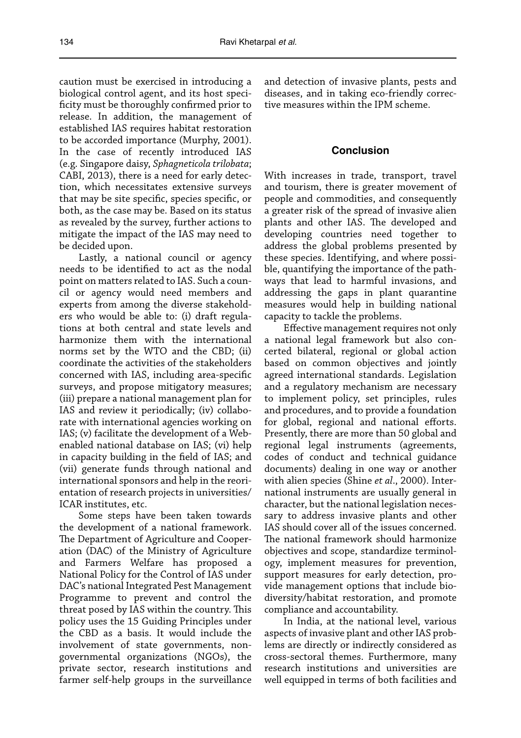caution must be exercised in introducing a biological control agent, and its host specificity must be thoroughly confirmed prior to release. In addition, the management of established IAS requires habitat restoration to be accorded importance (Murphy, 2001). In the case of recently introduced IAS (e.g. Singapore daisy, *Sphagneticola trilobata*; CABI, 2013), there is a need for early detection, which necessitates extensive surveys that may be site specific, species specific, or both, as the case may be. Based on its status as revealed by the survey, further actions to mitigate the impact of the IAS may need to be decided upon.

Lastly, a national council or agency needs to be identified to act as the nodal point on matters related to IAS. Such a council or agency would need members and experts from among the diverse stakeholders who would be able to: (i) draft regulations at both central and state levels and harmonize them with the international norms set by the WTO and the CBD; (ii) coordinate the activities of the stakeholders concerned with IAS, including area-specific surveys, and propose mitigatory measures; (iii) prepare a national management plan for IAS and review it periodically; (iv) collaborate with international agencies working on IAS; (v) facilitate the development of a Webenabled national database on IAS; (vi) help in capacity building in the field of IAS; and (vii) generate funds through national and international sponsors and help in the reorientation of research projects in universities/ ICAR institutes, etc.

Some steps have been taken towards the development of a national framework. The Department of Agriculture and Cooperation (DAC) of the Ministry of Agriculture and Farmers Welfare has proposed a National Policy for the Control of IAS under DAC's national Integrated Pest Management Programme to prevent and control the threat posed by IAS within the country. This policy uses the 15 Guiding Principles under the CBD as a basis. It would include the involvement of state governments, nongovernmental organizations (NGOs), the private sector, research institutions and farmer self-help groups in the surveillance and detection of invasive plants, pests and diseases, and in taking eco-friendly corrective measures within the IPM scheme.

#### **Conclusion**

With increases in trade, transport, travel and tourism, there is greater movement of people and commodities, and consequently a greater risk of the spread of invasive alien plants and other IAS. The developed and developing countries need together to address the global problems presented by these species. Identifying, and where possible, quantifying the importance of the pathways that lead to harmful invasions, and addressing the gaps in plant quarantine measures would help in building national capacity to tackle the problems.

Effective management requires not only a national legal framework but also concerted bilateral, regional or global action based on common objectives and jointly agreed international standards. Legislation and a regulatory mechanism are necessary to implement policy, set principles, rules and procedures, and to provide a foundation for global, regional and national efforts. Presently, there are more than 50 global and regional legal instruments (agreements, codes of conduct and technical guidance documents) dealing in one way or another with alien species (Shine *et al*., 2000). International instruments are usually general in character, but the national legislation necessary to address invasive plants and other IAS should cover all of the issues concerned. The national framework should harmonize objectives and scope, standardize terminology, implement measures for prevention, support measures for early detection, provide management options that include biodiversity/habitat restoration, and promote compliance and accountability.

In India, at the national level, various aspects of invasive plant and other IAS problems are directly or indirectly considered as cross-sectoral themes. Furthermore, many research institutions and universities are well equipped in terms of both facilities and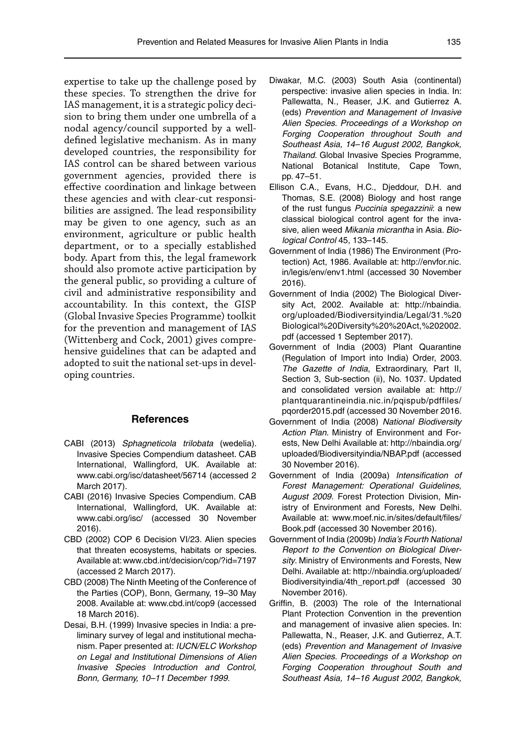expertise to take up the challenge posed by these species. To strengthen the drive for IAS management, it is a strategic policy decision to bring them under one umbrella of a nodal agency/council supported by a welldefined legislative mechanism. As in many developed countries, the responsibility for IAS control can be shared between various government agencies, provided there is effective coordination and linkage between these agencies and with clear-cut responsibilities are assigned. The lead responsibility may be given to one agency, such as an environment, agriculture or public health department, or to a specially established body. Apart from this, the legal framework should also promote active participation by the general public, so providing a culture of civil and administrative responsibility and accountability. In this context, the GISP (Global Invasive Species Programme) toolkit for the prevention and management of IAS (Wittenberg and Cock, 2001) gives comprehensive guidelines that can be adapted and adopted to suit the national set-ups in developing countries.

#### **References**

- CABI (2013) *Sphagneticola trilobata* (wedelia). Invasive Species Compendium datasheet. CAB International, Wallingford, UK. Available at: [www.cabi.org/isc/datasheet/56714](http://www.cabi.org/isc/datasheet/56714) (accessed 2 March 2017).
- CABI (2016) Invasive Species Compendium. CAB International, Wallingford, UK. Available at: [www.cabi.org/isc/](http://www.cabi.org/isc/) (accessed 30 November 2016).
- CBD (2002) COP 6 Decision VI/23. Alien species that threaten ecosystems, habitats or species. Available at[: www.cbd.int/decision/cop/?id=7197](http://www.cbd.int/decision/cop/?id=7197)  (accessed 2 March 2017).
- CBD (2008) The Ninth Meeting of the Conference of the Parties (COP), Bonn, Germany, 19–30 May 2008. Available at: [www.cbd.int/cop9](http://www.cbd.int/cop9) (accessed 18 March 2016).
- Desai, B.H. (1999) Invasive species in India: a preliminary survey of legal and institutional mechanism. Paper presented at: *IUCN/ELC Workshop on Legal and Institutional Dimensions of Alien Invasive Species Introduction and Control, Bonn, Germany, 10–11 December 1999*.
- Diwakar, M.C. (2003) South Asia (continental) perspective: invasive alien species in India. In: Pallewatta, N., Reaser, J.K. and Gutierrez A. (eds) *Prevention and Management of Invasive Alien Species. Proceedings of a Workshop on Forging Cooperation throughout South and Southeast Asia, 14–16 August 2002, Bangkok, Thailand*. Global Invasive Species Programme, National Botanical Institute, Cape Town, pp. 47–51.
- Ellison C.A., Evans, H.C., Djeddour, D.H. and Thomas, S.E. (2008) Biology and host range of the rust fungus *Puccinia spegazzinii*: a new classical biological control agent for the invasive, alien weed *Mikania micrantha* in Asia. *Biological Control* 45, 133–145.
- Government of India (1986) The Environment (Protection) Act, 1986. Available at: [http://envfor.nic.](http://envfor.nic.in/legis/env/env1.html) [in/legis/env/env1.html](http://envfor.nic.in/legis/env/env1.html) (accessed 30 November 2016).
- Government of India (2002) The Biological Diversity Act, 2002. Available at: [http://nbaindia.](http://nbaindia.org/uploaded/Biodiversityindia/Legal/31.%20Biological%20Diversity%20%20Act,%202002.pdf) [org/uploaded/Biodiversityindia/Legal/31.%20](http://nbaindia.org/uploaded/Biodiversityindia/Legal/31.%20Biological%20Diversity%20%20Act,%202002.pdf) [Biological%20Diversity%20%20Act,%202002.](http://nbaindia.org/uploaded/Biodiversityindia/Legal/31.%20Biological%20Diversity%20%20Act,%202002.pdf) [pdf](http://nbaindia.org/uploaded/Biodiversityindia/Legal/31.%20Biological%20Diversity%20%20Act,%202002.pdf) (accessed 1 September 2017).
- Government of India (2003) Plant Quarantine (Regulation of Import into India) Order, 2003. *The Gazette of India*, Extraordinary, Part II, Section 3, Sub-section (ii), No. 1037. Updated and consolidated version available at: [http://](http://plantquarantineindia.nic.in/pqispub/pdffiles/pqorder2015.pdf) [plantquarantineindia.nic.in/pqispub/pdffiles/](http://plantquarantineindia.nic.in/pqispub/pdffiles/pqorder2015.pdf) [pqorder2015.pdf](http://plantquarantineindia.nic.in/pqispub/pdffiles/pqorder2015.pdf) (accessed 30 November 2016.
- Government of India (2008) *National Biodiversity Action Plan*. Ministry of Environment and Forests, New Delhi Available at[: http://nbaindia.org/](http://nbaindia.org/uploaded/Biodiversityindia/NBAP.pdf) [uploaded/Biodiversityindia/NBAP.pdf](http://nbaindia.org/uploaded/Biodiversityindia/NBAP.pdf) (accessed 30 November 2016).
- Government of India (2009a) *Intensification of Forest Management: Operational Guidelines, August 2009.* Forest Protection Division, Ministry of Environment and Forests, New Delhi. Available at: [www.moef.nic.in/sites/default/files](http://www.moef.nic.in/sites/default/files/Book.pdf)/ [Book.pdf](http://www.moef.nic.in/sites/default/files/Book.pdf) (accessed 30 November 2016).
- Government of India (2009b) *India's Fourth National Report to the Convention on Biological Diversity*. Ministry of Environments and Forests, New Delhi. Available at: [http://nbaindia.org/uploaded/](http://nbaindia.org/uploaded/Biodiversityindia/4th_report.pdf) [Biodiversityindia/4th\\_report.pdf](http://nbaindia.org/uploaded/Biodiversityindia/4th_report.pdf) (accessed 30 November 2016).
- Griffin, B. (2003) The role of the International Plant Protection Convention in the prevention and management of invasive alien species. In: Pallewatta, N., Reaser, J.K. and Gutierrez, A.T. (eds) *Prevention and Management of Invasive Alien Species. Proceedings of a Workshop on Forging Cooperation throughout South and Southeast Asia, 14–16 August 2002, Bangkok,*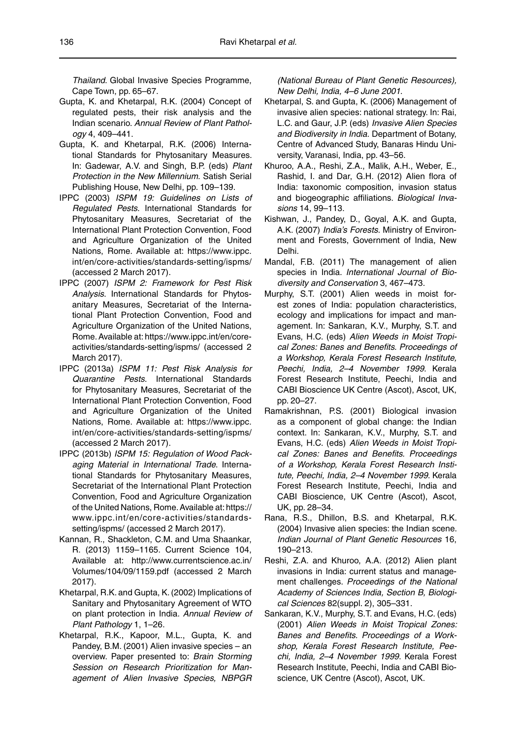*Thailand*. Global Invasive Species Programme, Cape Town, pp. 65–67.

- Gupta, K. and Khetarpal, R.K. (2004) Concept of regulated pests, their risk analysis and the Indian scenario. *Annual Review of Plant Pathology* 4, 409–441.
- Gupta, K. and Khetarpal, R.K. (2006) International Standards for Phytosanitary Measures. In: Gadewar, A.V. and Singh, B.P. (eds) *Plant Protection in the New Millennium.* Satish Serial Publishing House, New Delhi, pp. 109–139.
- IPPC (2003) *ISPM 19: Guidelines on Lists of Regulated Pests*. International Standards for Phytosanitary Measures, Secretariat of the International Plant Protection Convention, Food and Agriculture Organization of the United Nations, Rome. Available at: [https://www.ippc.](https://www.ippc.int/en/core-activities/standards-setting/ispms/(accessed) [int/en/core-activities/standards-setting/ispms/](https://www.ippc.int/en/core-activities/standards-setting/ispms/(accessed)  [\(accessed](https://www.ippc.int/en/core-activities/standards-setting/ispms/(accessed) 2 March 2017).
- IPPC (2007) *ISPM 2: Framework for Pest Risk Analysis*. International Standards for Phytosanitary Measures, Secretariat of the International Plant Protection Convention, Food and Agriculture Organization of the United Nations, Rome.Available at[: https://www.ippc.int/en/core](https://www.ippc.int/en/core-activities/standards-setting/ispms/)[activities/standards-setting/ispms/](https://www.ippc.int/en/core-activities/standards-setting/ispms/) (accessed 2 March 2017).
- IPPC (2013a) *ISPM 11: Pest Risk Analysis for Quarantine Pests*. International Standards for Phytosanitary Measures, Secretariat of the International Plant Protection Convention, Food and Agriculture Organization of the United Nations, Rome. Available at: [https://www.ippc.](https://www.ippc.int/en/core-activities/standards-setting/ispms/(accessed) [int/en/core-activities/standards-setting/ispms/](https://www.ippc.int/en/core-activities/standards-setting/ispms/(accessed)  [\(accessed](https://www.ippc.int/en/core-activities/standards-setting/ispms/(accessed) 2 March 2017).
- IPPC (2013b) *ISPM 15: Regulation of Wood Packaging Material in International Trade*. International Standards for Phytosanitary Measures, Secretariat of the International Plant Protection Convention, Food and Agriculture Organization of the United Nations, Rome. Available at: [https://](https://www.ippc.int/en/core-activities/standardssetting/ispms/) [www.ippc.int/en/core-activities/standards](https://www.ippc.int/en/core-activities/standardssetting/ispms/)[setting/ispms/](https://www.ippc.int/en/core-activities/standardssetting/ispms/) (accessed 2 March 2017).
- Kannan, R., Shackleton, C.M. and Uma Shaankar, R. (2013) 1159–1165. Current Science 104, Available at: [http://www.currentscience.ac.in/](http://www.currentscience.ac.in/Volumes/104/09/1159.pdf) [Volumes/104/09/1159.pdf](http://www.currentscience.ac.in/Volumes/104/09/1159.pdf) (accessed 2 March 2017).
- Khetarpal, R.K. and Gupta, K. (2002) Implications of Sanitary and Phytosanitary Agreement of WTO on plant protection in India. *Annual Review of Plant Pathology* 1, 1–26.
- Khetarpal, R.K., Kapoor, M.L., Gupta, K. and Pandey, B.M. (2001) Alien invasive species – an overview. Paper presented to: *Brain Storming Session on Research Prioritization for Management of Alien Invasive Species, NBPGR*

*(National Bureau of Plant Genetic Resources), New Delhi, India, 4–6 June 2001*.

- Khetarpal, S. and Gupta, K. (2006) Management of invasive alien species: national strategy. In: Rai, L.C. and Gaur, J.P. (eds) *Invasive Alien Species and Biodiversity in India.* Department of Botany, Centre of Advanced Study, Banaras Hindu University, Varanasi, India, pp. 43–56.
- Khuroo, A.A., Reshi, Z.A., Malik, A.H., Weber, E., Rashid, I. and Dar, G.H. (2012) Alien flora of India: taxonomic composition, invasion status and biogeographic affiliations. *Biological Invasions* 14, 99–113.
- Kishwan, J., Pandey, D., Goyal, A.K. and Gupta, A.K. (2007) *India's Forests.* Ministry of Environment and Forests, Government of India, New Delhi.
- Mandal, F.B. (2011) The management of alien species in India. *International Journal of Biodiversity and Conservation* 3, 467–473.
- Murphy, S.T. (2001) Alien weeds in moist forest zones of India: population characteristics, ecology and implications for impact and management. In: Sankaran, K.V., Murphy, S.T. and Evans, H.C. (eds) *Alien Weeds in Moist Tropical Zones: Banes and Benefits. Proceedings of a Workshop, Kerala Forest Research Institute, Peechi, India, 2–4 November 1999*. Kerala Forest Research Institute, Peechi, India and CABI Bioscience UK Centre (Ascot), Ascot, UK, pp. 20–27.
- Ramakrishnan, P.S. (2001) Biological invasion as a component of global change: the Indian context. In: Sankaran, K.V., Murphy, S.T. and Evans, H.C. (eds) *Alien Weeds in Moist Tropical Zones: Banes and Benefits. Proceedings of a Workshop, Kerala Forest Research Institute, Peechi, India, 2–4 November 1999*. Kerala Forest Research Institute, Peechi, India and CABI Bioscience, UK Centre (Ascot), Ascot, UK, pp. 28–34.
- Rana, R.S., Dhillon, B.S. and Khetarpal, R.K. (2004) Invasive alien species: the Indian scene. *Indian Journal of Plant Genetic Resources* 16, 190–213.
- Reshi, Z.A. and Khuroo, A.A. (2012) Alien plant invasions in India: current status and management challenges. *Proceedings of the National Academy of Sciences India, Section B, Biological Sciences* 82(suppl. 2), 305–331.
- Sankaran, K.V., Murphy, S.T. and Evans, H.C. (eds) (2001) *Alien Weeds in Moist Tropical Zones: Banes and Benefits. Proceedings of a Workshop, Kerala Forest Research Institute, Peechi, India, 2–4 November 1999*. Kerala Forest Research Institute, Peechi, India and CABI Bioscience, UK Centre (Ascot), Ascot, UK.